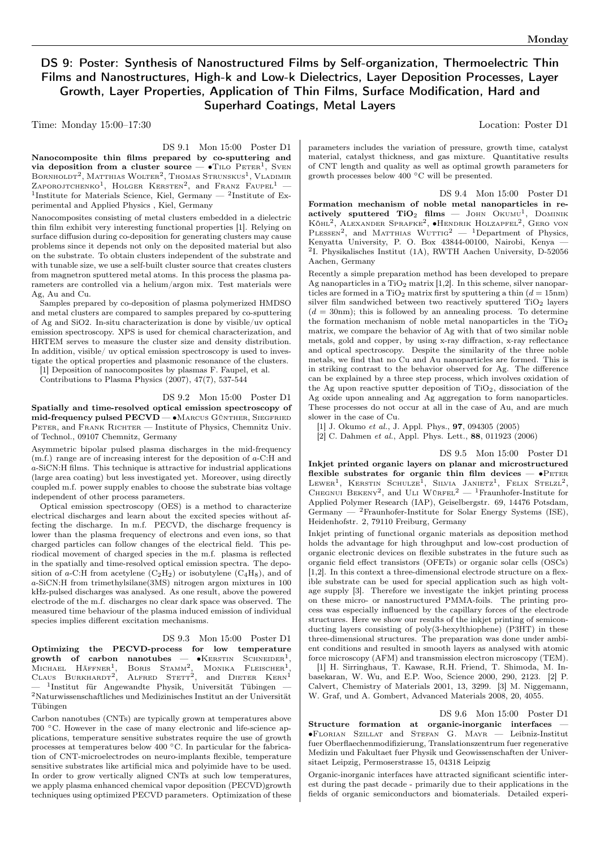# DS 9: Poster: Synthesis of Nanostructured Films by Self-organization, Thermoelectric Thin Films and Nanostructures, High-k and Low-k Dielectrics, Layer Deposition Processes, Layer Growth, Layer Properties, Application of Thin Films, Surface Modification, Hard and Superhard Coatings, Metal Layers

Time: Monday 15:00–17:30 Location: Poster D1

DS 9.1 Mon 15:00 Poster D1

Nanocomposite thin films prepared by co-sputtering and via deposition from a cluster source —  $\bullet$ TILO PETER<sup>1</sup>, SVEN Bornholdt<sup>2</sup>, Matthias Wolter<sup>2</sup>, Thomas Strunskus<sup>1</sup>, Vladimir ZAPOROJTCHENKO<sup>1</sup>, HOLGER KERSTEN<sup>2</sup>, and Franz Faupel<sup>1</sup> -<sup>1</sup>Institute for Materials Science, Kiel, Germany  $-$  <sup>2</sup>Institute of Experimental and Applied Physics , Kiel, Germany

Nanocomposites consisting of metal clusters embedded in a dielectric thin film exhibit very interesting functional properties [1]. Relying on surface diffusion during co-deposition for generating clusters may cause problems since it depends not only on the deposited material but also on the substrate. To obtain clusters independent of the substrate and with tunable size, we use a self-built cluster source that creates clusters from magnetron sputtered metal atoms. In this process the plasma parameters are controlled via a helium/argon mix. Test materials were Ag, Au and Cu.

Samples prepared by co-deposition of plasma polymerized HMDSO and metal clusters are compared to samples prepared by co-sputtering of Ag and SiO2. In-situ characterization is done by visible/uv optical emission spectroscopy. XPS is used for chemical characterization, and HRTEM serves to measure the cluster size and density distribution. In addition, visible/ uv optical emission spectroscopy is used to investigate the optical properties and plasmonic resonance of the clusters.

[1] Deposition of nanocomposites by plasmas F. Faupel, et al.

Contributions to Plasma Physics (2007), 47(7), 537-544

### DS 9.2 Mon 15:00 Poster D1

Spatially and time-resolved optical emission spectroscopy of mid-frequency pulsed PECVD — • MARCUS GÜNTHER, SIEGFRIED PETER, and FRANK RICHTER — Institute of Physics, Chemnitz Univ. of Technol., 09107 Chemnitz, Germany

Asymmetric bipolar pulsed plasma discharges in the mid-frequency  $(m.f.)$  range are of increasing interest for the deposition of  $a$ -C:H and -SiCN:H films. This technique is attractive for industrial applications (large area coating) but less investigated yet. Moreover, using directly coupled m.f. power supply enables to choose the substrate bias voltage independent of other process parameters.

Optical emission spectroscopy (OES) is a method to characterize electrical discharges and learn about the excited species without affecting the discharge. In m.f. PECVD, the discharge frequency is lower than the plasma frequency of electrons and even ions, so that charged particles can follow changes of the electrical field. This periodical movement of charged species in the m.f. plasma is reflected in the spatially and time-resolved optical emission spectra. The deposition of a-C:H from acetylene  $(C_2H_2)$  or isobutylene  $(C_4H_8)$ , and of -SiCN:H from trimethylsilane(3MS) nitrogen argon mixtures in 100 kHz-pulsed discharges was analysed. As one result, above the powered electrode of the m.f. discharges no clear dark space was observed. The measured time behaviour of the plasma induced emission of individual species implies different excitation mechanisms.

#### DS 9.3 Mon 15:00 Poster D1

Optimizing the PECVD-process for low temperature growth of carbon nanotubes —  $M$ ICHAEL HÄFFNER<sup>1</sup>, BORIS STAMM<sup>2</sup>,  $\bullet$ KERSTIN SCHNEIDER<sup>1</sup>, Michael Häffner<sup>1</sup>, Boris Stamm<sup>2</sup>, Monika Fleischer<sup>1</sup>,<br>Claus Burkhardt<sup>2</sup>, Alfred Stett<sup>2</sup>, and Dieter Kern<sup>1</sup> — <sup>1</sup> Institut für Angewandte Physik, Universität Tübingen — <sup>2</sup>Naturwissenschaftliches und Medizinisches Institut an der Universität Tübingen

Carbon nanotubes (CNTs) are typically grown at temperatures above 700 <sup>∘</sup>C. However in the case of many electronic and life-science applications, temperature sensitive substrates require the use of growth processes at temperatures below 400 <sup>∘</sup>C. In particular for the fabrication of CNT-microelectrodes on neuro-implants flexible, temperature sensitive substrates like artificial mica and polyimide have to be used. In order to grow vertically aligned CNTs at such low temperatures, we apply plasma enhanced chemical vapor deposition (PECVD)growth techniques using optimized PECVD parameters. Optimization of these parameters includes the variation of pressure, growth time, catalyst material, catalyst thickness, and gas mixture. Quantitative results of CNT length and quality as well as optimal growth parameters for growth processes below 400 <sup>∘</sup>C will be presented.

DS 9.4 Mon 15:00 Poster D1 Formation mechanism of noble metal nanoparticles in reactively sputtered  $TiO<sub>2</sub>$  films — JOHN OKUMU<sup>1</sup>, DOMINIK KÖHL<sup>2</sup>, ALEXANDER SPRAFKE<sup>2</sup>, ●HENDRIK HOLZAPFEL<sup>2</sup>, GERO VON PLESSEN<sup>2</sup>, and MATTHIAS WUTTIG<sup>2</sup> - <sup>1</sup>Department of Physics, Kenyatta University, P. O. Box 43844-00100, Nairobi, Kenya — 2 I. Physikalisches Institut (1A), RWTH Aachen University, D-52056 Aachen, Germany

Recently a simple preparation method has been developed to prepare Ag nanoparticles in a  $TiO<sub>2</sub>$  matrix [1,2]. In this scheme, silver nanoparticles are formed in a TiO<sub>2</sub> matrix first by sputtering a thin  $(d = 15nm)$ silver film sandwiched between two reactively sputtered  $TiO<sub>2</sub>$  layers  $(d = 30nm)$ ; this is followed by an annealing process. To determine the formation mechanism of noble metal nanoparticles in the  $TiO<sub>2</sub>$ matrix, we compare the behavior of Ag with that of two similar noble metals, gold and copper, by using x-ray diffraction, x-ray reflectance and optical spectroscopy. Despite the similarity of the three noble metals, we find that no Cu and Au nanoparticles are formed. This is in striking contrast to the behavior observed for Ag. The difference can be explained by a three step process, which involves oxidation of the Ag upon reactive sputter deposition of  $TiO<sub>2</sub>$ , dissociation of the Ag oxide upon annealing and Ag aggregation to form nanoparticles. These processes do not occur at all in the case of Au, and are much slower in the case of Cu.

[1] J. Okumo et al., J. Appl. Phys., 97, 094305 (2005)

[2] C. Dahmen et al., Appl. Phys. Lett., 88, 011923 (2006)

DS 9.5 Mon 15:00 Poster D1 Inkjet printed organic layers on planar and microstructured flexible substrates for organic thin film devices —  $\bullet$ PETER LEWER<sup>1</sup>, KERSTIN SCHULZE<sup>1</sup>, SILVIA JANIETZ<sup>1</sup>, FELIX STELZL<sup>2</sup>, CHEGNUI BEKENY<sup>2</sup>, and ULI WÜRFEL<sup>2</sup> — <sup>1</sup> Fraunhofer-Institute for Applied Polymer Research (IAP), Geiselbergstr. 69, 14476 Potsdam, Germany — <sup>2</sup>Fraunhofer-Institute for Solar Energy Systems (ISE), Heidenhofstr. 2, 79110 Freiburg, Germany

Inkjet printing of functional organic materials as deposition method holds the advantage for high throughput and low-cost production of organic electronic devices on flexible substrates in the future such as organic field effect transistors (OFETs) or organic solar cells (OSCs) [1,2]. In this context a three-dimensional electrode structure on a flexible substrate can be used for special application such as high voltage supply [3]. Therefore we investigate the inkjet printing process on these micro- or nanostructured PMMA-foils. The printing process was especially influenced by the capillary forces of the electrode structures. Here we show our results of the inkjet printing of semiconducting layers consisting of poly(3-hexylthiophene) (P3HT) in these three-dimensional structures. The preparation was done under ambient conditions and resulted in smooth layers as analysed with atomic force microscopy (AFM) and transmission electron microscopy (TEM).

[1] H. Sirringhaus, T. Kawase, R.H. Friend, T. Shimoda, M. Inbasekaran, W. Wu, and E.P. Woo, Science 2000, 290, 2123. [2] P. Calvert, Chemistry of Materials 2001, 13, 3299. [3] M. Niggemann, W. Graf, und A. Gombert, Advanced Materials 2008, 20, 4055.

DS 9.6 Mon 15:00 Poster D1

Structure formation at organic-inorganic interfaces ∙Florian Szillat and Stefan G. Mayr — Leibniz-Institut fuer Oberflaechenmodifizierung, Translationszentrum fuer regenerative Medizin und Fakultaet fuer Physik und Geowissenschaften der Universitaet Leipzig, Permoserstrasse 15, 04318 Leipzig

Organic-inorganic interfaces have attracted significant scientific interest during the past decade - primarily due to their applications in the fields of organic semiconductors and biomaterials. Detailed experi-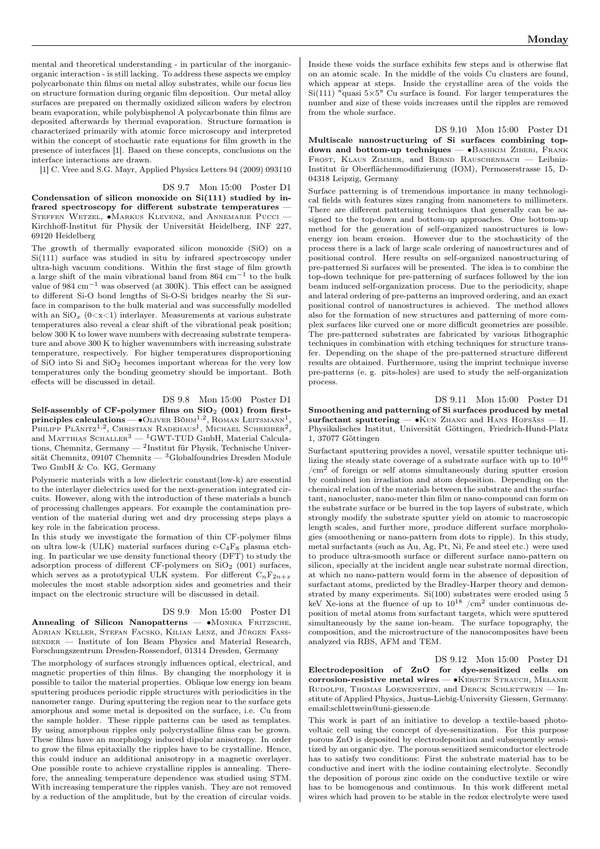mental and theoretical understanding - in particular of the inorganicorganic interaction - is still lacking. To address these aspects we employ polycarbonate thin films on metal alloy substrates, while our focus lies on structure formation during organic film deposition. Our metal alloy surfaces are prepared on thermally oxidized silicon wafers by electron beam evaporation, while polybisphenol A polycarbonate thin films are deposited afterwards by thermal evaporation. Structure formation is characterized primarily with atomic force microscopy and interpreted within the concept of stochastic rate equations for film growth in the presence of interfaces [1]. Based on these concepts, conclusions on the interface interactions are drawn.

[1] C. Vree and S.G. Mayr, Applied Physics Letters 94 (2009) 093110

DS 9.7 Mon 15:00 Poster D1

Condensation of silicon monoxide on Si(111) studied by infrared spectroscopy for different substrate temperatures — STEFFEN WETZEL, •MARKUS KLEVENZ, and ANNEMARIE PUCCI — Kirchhoff-Institut für Physik der Universität Heidelberg, INF 227, 69120 Heidelberg

The growth of thermally evaporated silicon monoxide (SiO) on a Si(111) surface was studied in situ by infrared spectroscopy under ultra-high vacuum conditions. Within the first stage of film growth a large shift of the main vibrational band from  $864 \text{ cm}^{-1}$  to the bulk value of 984  $\text{cm}^{-1}$  was observed (at 300K). This effect can be assigned to different Si-O bond lengths of Si-O-Si bridges nearby the Si surface in comparison to the bulk material and was successfully modelled with an  $\text{SiO}_x$  (0<x<1) interlayer. Measurements at various substrate temperatures also reveal a clear shift of the vibrational peak position; below 300 K to lower wave numbers with decreasing substrate temperature and above 300 K to higher wavenumbers with increasing substrate temperature, respectively. For higher temperatures disproportioning of SiO into Si and  $SiO<sub>2</sub>$  becomes important whereas for the very low temperatures only the bonding geometry should be important. Both effects will be discussed in detail.

### DS 9.8 Mon 15:00 Poster D1

Self-assembly of CF-polymer films on  $SiO<sub>2</sub>$  (001) from first**principles calculations** —  $\bullet$  Оliver Вöнм<sup>1,2</sup>, ROMAN LEITSMANN<sup>1</sup>, Philipp Plänitz<sup>1,2</sup>, Christian Radehaus<sup>1</sup>, Michael Schreiber<sup>2</sup>, and MATTHIAS SCHALLER<sup>3</sup>  $-$  <sup>1</sup>GWT-TUD GmbH, Material Calculations, Chemnitz, Germany — <sup>2</sup> Institut für Physik, Technische Universität Chemnitz, 09107 Chemnitz — <sup>3</sup>Globalfoundries Dresden Module Two GmbH & Co. KG, Germany

Polymeric materials with a low dielectric constant(low-k) are essential to the interlayer dielectrics used for the next-generation integrated circuits. However, along with the introduction of these materials a bunch of processing challenges appears. For example the contamination prevention of the material during wet and dry processing steps plays a key role in the fabrication process.

In this study we investigate the formation of thin CF-polymer films on ultra low-k (ULK) material surfaces during  $c-C_4F_8$  plasma etching. In particular we use density functional theory (DFT) to study the adsorption process of different CF-polymers on  $SiO<sub>2</sub>$  (001) surfaces, which serves as a prototypical ULK system. For different  $C_nF_{2n+x}$ molecules the most stable adsorption sides and geometries and their impact on the electronic structure will be discussed in detail.

## DS 9.9 Mon 15:00 Poster D1

Annealing of Silicon Nanopatterns — •MONIKA FRITZSCHE, Adrian Keller, Stefan Facsko, Kilian Lenz, and Jürgen Fass-BENDER — Institute of Ion Beam Physics and Material Research, Forschungszentrum Dresden-Rossendorf, 01314 Dresden, Germany

The morphology of surfaces strongly influences optical, electrical, and magnetic properties of thin films. By changing the morphology it is possible to tailor the material properties. Oblique low energy ion beam sputtering produces periodic ripple structures with periodicities in the nanometer range. During sputtering the region near to the surface gets amorphous and some metal is deposited on the surface, i.e. Cu from the sample holder. These ripple patterns can be used as templates. By using amorphous ripples only polycrystalline films can be grown. These films have an morphology induced dipolar anisotropy. In order to grow the films epitaxially the ripples have to be crystalline. Hence, this could induce an additional anisotropy in a magnetic overlayer. One possible route to achieve crystalline ripples is annealing. Therefore, the annealing temperature dependence was studied using STM. With increasing temperature the ripples vanish. They are not removed by a reduction of the amplitude, but by the creation of circular voids.

Inside these voids the surface exhibits few steps and is otherwise flat on an atomic scale. In the middle of the voids Cu clusters are found, which appear at steps. Inside the crystalline area of the voids the Si(111) "quasi  $5\times5$ " Cu surface is found. For larger temperatures the number and size of these voids increases until the ripples are removed from the whole surface.

DS 9.10 Mon 15:00 Poster D1 Multiscale nanostructuring of Si surfaces combining topdown and bottom-up techniques — ∙Bashkim Ziberi, Frank FROST, KLAUS ZIMMER, and BERND RAUSCHENBACH - Leibniz-Institut ür Oberflächenmodifizierung (IOM), Permoserstrasse 15, D-04318 Leipzig, Germany

Surface patterning is of tremendous importance in many technological fields with features sizes ranging from nanometers to millimeters. There are different patterning techniques that generally can be assigned to the top-down and bottom-up approaches. One bottom-up method for the generation of self-organized nanostructures is lowenergy ion beam erosion. However due to the stochasticity of the process there is a lack of large scale ordering of nanostructures and of positional control. Here results on self-organized nanostructuring of pre-patterned Si surfaces will be presented. The idea is to combine the top-down technique for pre-patterning of surfaces followed by the ion beam induced self-organization process. Due to the periodicity, shape and lateral ordering of pre-patterns an improved ordering, and an exact positional control of nanostructures is achieved. The method allows also for the formation of new structures and patterning of more complex surfaces like curved one or more difficult geometries are possible. The pre-patterned substrates are fabricated by various lithographic techniques in combination with etching techniques for structure transfer. Depending on the shape of the pre-patterned structure different results are obtained. Furthermore, using the imprint technique inverse pre-patterns (e. g. pits-holes) are used to study the self-organization process.

DS 9.11 Mon 15:00 Poster D1 Smoothening and patterning of Si surfaces produced by metal surfactant sputtering — •KUN ZHANG and HANS HOFSÄSS — II. Physikalisches Institut, Universität Göttingen, Friedrich-Hund-Platz 1, 37077 Göttingen

Surfactant sputtering provides a novel, versatile sputter technique utilizing the steady state coverage of a substrate surface with up to  $10^{16}$  $/cm<sup>2</sup>$  of foreign or self atoms simultaneously during sputter erosion by combined ion irradiation and atom deposition. Depending on the chemical relation of the materials between the substrate and the surfactant, nanocluster, nano-meter thin film or nano-compound can form on the substrate surface or be burred in the top layers of substrate, which strongly modify the substrate sputter yield on atomic to macroscopic length scales, and further more, produce different surface morphologies (smoothening or nano-pattern from dots to ripple). In this study, metal surfactants (such as Au, Ag, Pt, Ni, Fe and steel etc.) were used to produce ultra-smooth surface or different surface nano-pattern on silicon, specially at the incident angle near substrate normal direction, at which no nano-pattern would form in the absence of deposition of surfactant atoms, predicted by the Bradley-Harper theory and demonstrated by many experiments. Si(100) substrates were eroded using 5 keV Xe-ions at the fluence of up to  $10^{18}$  /cm<sup>2</sup> under continuous deposition of metal atoms from surfactant targets, which were sputtered simultaneously by the same ion-beam. The surface topography, the composition, and the microstructure of the nanocomposites have been analyzed via RBS, AFM and TEM.

DS 9.12 Mon 15:00 Poster D1 Electrodeposition of ZnO for dye-sensitized cells on corrosion-resistive metal wires — ∙Kerstin Strauch, Melanie RUDOLPH, THOMAS LOEWENSTEIN, and DERCK SCHLETTWEIN - Institute of Applied Physics, Justus-Liebig-University Giessen, Germany. email:schlettwein@uni-giessen.de

This work is part of an initiative to develop a textile-based photovoltaic cell using the concept of dye-sensitization. For this purpose porous ZnO is deposited by electrodeposition and subsequently sensitized by an organic dye. The porous sensitized semiconductor electrode has to satisfy two conditions: First the substrate material has to be conductive and inert with the iodine containing electrolyte. Secondly the deposition of porous zinc oxide on the conductive textile or wire has to be homogenous and continuous. In this work different metal wires which had proven to be stable in the redox electrolyte were used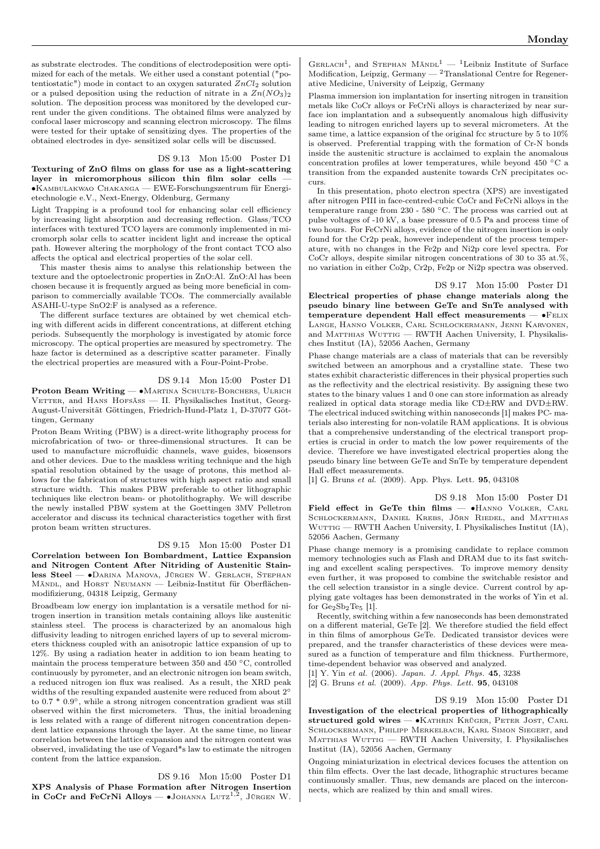as substrate electrodes. The conditions of electrodeposition were optimized for each of the metals. We either used a constant potential ("potentiostatic") mode in contact to an oxygen saturated  $ZnCl_2$  solution or a pulsed deposition using the reduction of nitrate in a  $Zn(NO<sub>3</sub>)<sub>2</sub>$ solution. The deposition process was monitored by the developed current under the given conditions. The obtained films were analyzed by confocal laser microscopy and scanning electron microscopy. The films were tested for their uptake of sensitizing dyes. The properties of the obtained electrodes in dye- sensitized solar cells will be discussed.

### DS 9.13 Mon 15:00 Poster D1

Texturing of ZnO films on glass for use as a light-scattering layer in micromorphous silicon thin film solar cells — ∙Kambulakwao Chakanga — EWE-Forschungszentrum für Energietechnologie e.V., Next-Energy, Oldenburg, Germany

Light Trapping is a profound tool for enhancing solar cell efficiency by increasing light absorption and decreasing reflection. Glass/TCO interfaces with textured TCO layers are commonly implemented in micromorph solar cells to scatter incident light and increase the optical path. However altering the morphology of the front contact TCO also affects the optical and electrical properties of the solar cell.

This master thesis aims to analyse this relationship between the texture and the optoelectronic properties in ZnO:Al. ZnO:Al has been chosen because it is frequently argued as being more beneficial in comparison to commercially available TCOs. The commercially available ASAHI-U-type SnO2:F is analysed as a reference.

The different surface textures are obtained by wet chemical etching with different acids in different concentrations, at different etching periods. Subsequently the morphology is investigated by atomic force microscopy. The optical properties are measured by spectrometry. The haze factor is determined as a descriptive scatter parameter. Finally the electrical properties are measured with a Four-Point-Probe.

#### DS 9.14 Mon 15:00 Poster D1

Proton Beam Writing — • MARTINA SCHULTE-BORCHERS, ULRICH VETTER, and HANS HOFSÄSS — II. Physikalisches Institut, Georg-August-Universität Göttingen, Friedrich-Hund-Platz 1, D-37077 Göttingen, Germany

Proton Beam Writing (PBW) is a direct-write lithography process for microfabrication of two- or three-dimensional structures. It can be used to manufacture microfluidic channels, wave guides, biosensors and other devices. Due to the maskless writing technique and the high spatial resolution obtained by the usage of protons, this method allows for the fabrication of structures with high aspect ratio and small structure width. This makes PBW preferable to other lithographic techniques like electron beam- or photolithography. We will describe the newly installed PBW system at the Goettingen 3MV Pelletron accelerator and discuss its technical characteristics together with first proton beam written structures.

#### DS 9.15 Mon 15:00 Poster D1

Correlation between Ion Bombardment, Lattice Expansion and Nitrogen Content After Nitriding of Austenitic Stainless Steel — ∙Darina Manova, Jürgen W. Gerlach, Stephan Mändl, and HORST NEUMANN - Leibniz-Institut für Oberflächenmodifizierung, 04318 Leipzig, Germany

Broadbeam low energy ion implantation is a versatile method for nitrogen insertion in transition metals containing alloys like austenitic stainless steel. The process is characterized by an anomalous high diffusivity leading to nitrogen enriched layers of up to several micrometers thickness coupled with an anisotropic lattice expansion of up to 12%. By using a radiation heater in addition to ion beam heating to maintain the process temperature between 350 and 450 <sup>∘</sup>C, controlled continuously by pyrometer, and an electronic nitrogen ion beam switch, a reduced nitrogen ion flux was realised. As a result, the XRD peak widths of the resulting expanded austenite were reduced from about 2<sup>∘</sup> to 0.7 \* 0.9∘, while a strong nitrogen concentration gradient was still observed within the first micrometers. Thus, the initial broadening is less related with a range of different nitrogen concentration dependent lattice expansions through the layer. At the same time, no linear correlation between the lattice expansion and the nitrogen content was observed, invalidating the use of Vegard\*s law to estimate the nitrogen content from the lattice expansion.

DS 9.16 Mon 15:00 Poster D1 XPS Analysis of Phase Formation after Nitrogen Insertion in CoCr and FeCrNi Alloys —  $\bullet$ JOHANNA LUTZ<sup>1,2</sup>, JÜRGEN W.

GERLACH<sup>1</sup>, and STEPHAN  $M$ ÄNDL<sup>1</sup> — <sup>1</sup>Leibniz Institute of Surface Modification, Leipzig, Germany — <sup>2</sup>Translational Centre for Regenerative Medicine, University of Leipzig, Germany

Plasma immersion ion implantation for inserting nitrogen in transition metals like CoCr alloys or FeCrNi alloys is characterized by near surface ion implantation and a subsequently anomalous high diffusivity leading to nitrogen enriched layers up to several micrometers. At the same time, a lattice expansion of the original fcc structure by 5 to 10% is observed. Preferential trapping with the formation of Cr-N bonds inside the austenitic structure is acclaimed to explain the anomalous concentration profiles at lower temperatures, while beyond 450 <sup>∘</sup>C a transition from the expanded austenite towards CrN precipitates occurs.

In this presentation, photo electron spectra (XPS) are investigated after nitrogen PIII in face-centred-cubic CoCr and FeCrNi alloys in the temperature range from 230 - 580 <sup>∘</sup>C. The process was carried out at pulse voltages of -10 kV, a base pressure of 0.5 Pa and process time of two hours. For FeCrNi alloys, evidence of the nitrogen insertion is only found for the Cr2p peak, however independent of the process temperature, with no changes in the Fe2p and Ni2p core level spectra. For CoCr alloys, despite similar nitrogen concentrations of 30 to 35 at.%, no variation in either Co2p, Cr2p, Fe2p or Ni2p spectra was observed.

#### DS 9.17 Mon 15:00 Poster D1

Electrical properties of phase change materials along the pseudo binary line between GeTe and SnTe analysed with temperature dependent Hall effect measurements — ∙Felix Lange, Hanno Volker, Carl Schlockermann, Jenni Karvonen, and MATTHIAS WUTTIG — RWTH Aachen University, I. Physikalisches Institut (IA), 52056 Aachen, Germany

Phase change materials are a class of materials that can be reversibly switched between an amorphous and a crystalline state. These two states exhibit characteristic differences in their physical properties such as the reflectivity and the electrical resistivity. By assigning these two states to the binary values 1 and 0 one can store information as already realized in optical data storage media like CD±RW and DVD±RW. The electrical induced switching within nanoseconds [1] makes PC- materials also interesting for non-volatile RAM applications. It is obvious that a comprehensive understanding of the electrical transport properties is crucial in order to match the low power requirements of the device. Therefore we have investigated electrical properties along the pseudo binary line between GeTe and SnTe by temperature dependent Hall effect measurements.

[1] G. Bruns et al. (2009). App. Phys. Lett. 95, 043108

DS 9.18 Mon 15:00 Poster D1 Field effect in GeTe thin films — • HANNO VOLKER, CARL SCHLOCKERMANN, DANIEL KREBS, JÖRN RIEDEL, and MATTHIAS WUTTIG — RWTH Aachen University, I. Physikalisches Institut (IA), 52056 Aachen, Germany

Phase change memory is a promising candidate to replace common memory technologies such as Flash and DRAM due to its fast switching and excellent scaling perspectives. To improve memory density even further, it was proposed to combine the switchable resistor and the cell selection transistor in a single device. Current control by applying gate voltages has been demonstrated in the works of Yin et al. for Ge2Sb2Te5 [1].

Recently, switching within a few nanoseconds has been demonstrated on a different material, GeTe [2]. We therefore studied the field effect in thin films of amorphous GeTe. Dedicated transistor devices were prepared, and the transfer characteristics of these devices were measured as a function of temperature and film thickness. Furthermore, time-dependent behavior was observed and analyzed.

[1] Y. Yin et al. (2006). Japan. J. Appl. Phys. 45, 3238 [2] G. Bruns et al. (2009). App. Phys. Lett. 95, 043108

DS 9.19 Mon 15:00 Poster D1 Investigation of the electrical properties of lithographically structured gold wires — • KATHRIN KRÜGER, PETER JOST, CARL Schlockermann, Philipp Merkelbach, Karl Simon Siegert, and Matthias Wuttig — RWTH Aachen University, I. Physikalisches Institut (IA), 52056 Aachen, Germany

Ongoing miniaturization in electrical devices focuses the attention on thin film effects. Over the last decade, lithographic structures became continuously smaller. Thus, new demands are placed on the interconnects, which are realized by thin and small wires.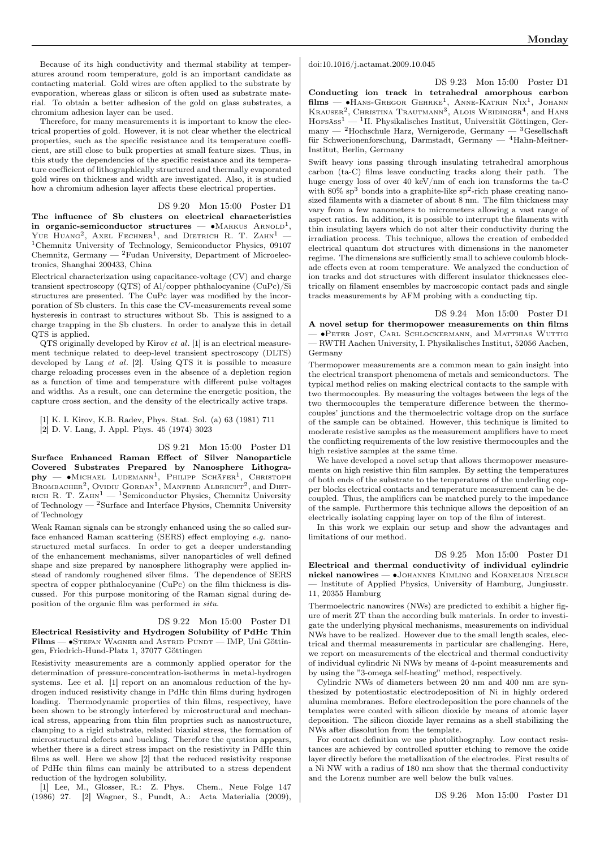Because of its high conductivity and thermal stability at temperatures around room temperature, gold is an important candidate as contacting material. Gold wires are often applied to the substrate by evaporation, whereas glass or silicon is often used as substrate material. To obtain a better adhesion of the gold on glass substrates, a chromium adhesion layer can be used.

Therefore, for many measurements it is important to know the electrical properties of gold. However, it is not clear whether the electrical properties, such as the specific resistance and its temperature coefficient, are still close to bulk properties at small feature sizes. Thus, in this study the dependencies of the specific resistance and its temperature coefficient of lithographically structured and thermally evaporated gold wires on thickness and width are investigated. Also, it is studied how a chromium adhesion layer affects these electrical properties.

DS 9.20 Mon 15:00 Poster D1

The influence of Sb clusters on electrical characteristics in organic-semiconductor structures —  $\bullet$ Markus Arnold<sup>1</sup>, YUE HUANG<sup>2</sup>, AXEL FECHNER<sup>1</sup>, and DIETRICH R. T. ZAHN<sup>1</sup> – <sup>1</sup>Chemnitz University of Technology, Semiconductor Physics, 09107 Chemnitz, Germany  $-$  <sup>2</sup>Fudan University, Department of Microelectronics, Shanghai 200433, China

Electrical characterization using capacitance-voltage (CV) and charge transient spectroscopy (QTS) of Al/copper phthalocyanine (CuPc)/Si structures are presented. The CuPc layer was modified by the incorporation of Sb clusters. In this case the CV-measurements reveal some hysteresis in contrast to structures without Sb. This is assigned to a charge trapping in the Sb clusters. In order to analyze this in detail QTS is applied.

QTS originally developed by Kirov et al. [1] is an electrical measurement technique related to deep-level transient spectroscopy (DLTS) developed by Lang et al. [2]. Using QTS it is possible to measure charge reloading processes even in the absence of a depletion region as a function of time and temperature with different pulse voltages and widths. As a result, one can determine the energetic position, the capture cross section, and the density of the electrically active traps.

[1] K. I. Kirov, K.B. Radev, Phys. Stat. Sol. (a) 63 (1981) 711 [2] D. V. Lang, J. Appl. Phys. 45 (1974) 3023

DS 9.21 Mon 15:00 Poster D1 Surface Enhanced Raman Effect of Silver Nanoparticle Covered Substrates Prepared by Nanosphere Lithogra- ${\bf phy}\;$  — •Міснаеl Ludemann<sup>1</sup>, Philipp Schäfer<sup>1</sup>, Christoph BROMBACHER<sup>2</sup>, OVIDIU GORDAN<sup>1</sup>, MANFRED ALBRECHT<sup>2</sup>, and DIET-RICH R. T. ZAHN<sup>1</sup> — <sup>1</sup>Semiconductor Physics, Chemnitz University of Technology — <sup>2</sup>Surface and Interface Physics, Chemnitz University of Technology

Weak Raman signals can be strongly enhanced using the so called surface enhanced Raman scattering (SERS) effect employing e.g. nanostructured metal surfaces. In order to get a deeper understanding of the enhancement mechanisms, silver nanoparticles of well defined shape and size prepared by nanosphere lithography were applied instead of randomly roughened silver films. The dependence of SERS spectra of copper phthalocyanine (CuPc) on the film thickness is discussed. For this purpose monitoring of the Raman signal during deposition of the organic film was performed in situ.

DS 9.22 Mon 15:00 Poster D1 Electrical Resistivity and Hydrogen Solubility of PdHc Thin Films — ∙Stefan Wagner and Astrid Pundt — IMP, Uni Göttingen, Friedrich-Hund-Platz 1, 37077 Göttingen

Resistivity measurements are a commonly applied operator for the determination of pressure-concentration-isotherms in metal-hydrogen systems. Lee et al. [1] report on an anomalous reduction of the hydrogen induced resistivity change in PdHc thin films during hydrogen loading. Thermodynamic properties of thin films, respectivey, have been shown to be strongly interfered by microstructural and mechanical stress, appearing from thin film proprties such as nanostructure, clamping to a rigid substrate, related biaxial stress, the formation of microstructural defects and buckling. Therefore the question appears, whether there is a direct stress impact on the resistivity in PdHc thin films as well. Here we show [2] that the reduced resistivity response of PdHc thin films can mainly be attributed to a stress dependent reduction of the hydrogen solubility.

[1] Lee, M., Glosser, R.: Z. Phys. Chem., Neue Folge 147 (1986) 27. [2] Wagner, S., Pundt, A.: Acta Materialia (2009), doi:10.1016/j.actamat.2009.10.045

DS 9.23 Mon 15:00 Poster D1 Conducting ion track in tetrahedral amorphous carbon  $\text{films} \longrightarrow \bullet$ Hans-Gregor Gehrke<sup>1</sup>, Anne-Katrin Nix<sup>1</sup>, Johann<br>Krauser<sup>2</sup>, Christina Trautmann<sup>3</sup>, Alois Weidinger<sup>4</sup>, and Hans  $H$ OFSÄSS<sup>1</sup> — <sup>1</sup>II. Physikalisches Institut, Universität Göttingen, Germany — <sup>2</sup>Hochschule Harz, Wernigerode, Germany — <sup>3</sup>Gesellschaft

für Schwerionenforschung, Darmstadt, Germany — <sup>4</sup>Hahn-Meitner-Institut, Berlin, Germany Swift heavy ions passing through insulating tetrahedral amorphous carbon (ta-C) films leave conducting tracks along their path. The huge energy loss of over 40 keV/nm of each ion transforms the ta-C with  $80\%$  sp<sup>3</sup> bonds into a graphite-like sp<sup>2</sup>-rich phase creating nanosized filaments with a diameter of about 8 nm. The film thickness may vary from a few nanometers to micrometers allowing a vast range of aspect ratios. In addition, it is possible to interrupt the filaments with thin insulating layers which do not alter their conductivity during the irradiation process. This technique, allows the creation of embedded electrical quantum dot structures with dimensions in the nanometer regime. The dimensions are sufficiently small to achieve coulomb blockade effects even at room temperature. We analyzed the conduction of ion tracks and dot structures with different insulator thicknesses electrically on filament ensembles by macroscopic contact pads and single tracks measurements by AFM probing with a conducting tip.

DS 9.24 Mon 15:00 Poster D1 A novel setup for thermopower measurements on thin films — ∙Peter Jost, Carl Schlockermann, and Matthias Wuttig — RWTH Aachen University, I. Physikalisches Institut, 52056 Aachen, Germany

Thermopower measurements are a common mean to gain insight into the electrical transport phenomena of metals and semiconductors. The typical method relies on making electrical contacts to the sample with two thermocouples. By measuring the voltages between the legs of the two thermocouples the temperature difference between the thermocouples' junctions and the thermoelectric voltage drop on the surface of the sample can be obtained. However, this technique is limited to moderate resistive samples as the measurement amplifiers have to meet the conflicting requirements of the low resistive thermocouples and the high resistive samples at the same time.

We have developed a novel setup that allows thermopower measurements on high resistive thin film samples. By setting the temperatures of both ends of the substrate to the temperatures of the underling copper blocks electrical contacts and temperature measurement can be decoupled. Thus, the amplifiers can be matched purely to the impedance of the sample. Furthermore this technique allows the deposition of an electrically isolating capping layer on top of the film of interest.

In this work we explain our setup and show the advantages and limitations of our method.

DS 9.25 Mon 15:00 Poster D1 Electrical and thermal conductivity of individual cylindric nickel nanowires — •JOHANNES KIMLING and KORNELIUS NIELSCH — Institute of Applied Physics, University of Hamburg, Jungiusstr. 11, 20355 Hamburg

Thermoelectric nanowires (NWs) are predicted to exhibit a higher figure of merit ZT than the according bulk materials. In order to investigate the underlying physical mechanisms, measurements on individual NWs have to be realized. However due to the small length scales, electrical and thermal measurements in particular are challenging. Here, we report on measurements of the electrical and thermal conductivity of individual cylindric Ni NWs by means of 4-point measurements and by using the "3-omega self-heating" method, respectively.

Cylindric NWs of diameters between 20 nm and 400 nm are synthesized by potentiostatic electrodeposition of Ni in highly ordered alumina membranes. Before electrodeposition the pore channels of the templates were coated with silicon dioxide by means of atomic layer deposition. The silicon dioxide layer remains as a shell stabilizing the NWs after dissolution from the template.

For contact definition we use photolithography. Low contact resistances are achieved by controlled sputter etching to remove the oxide layer directly before the metallization of the electrodes. First results of a Ni NW with a radius of 180 nm show that the thermal conductivity and the Lorenz number are well below the bulk values.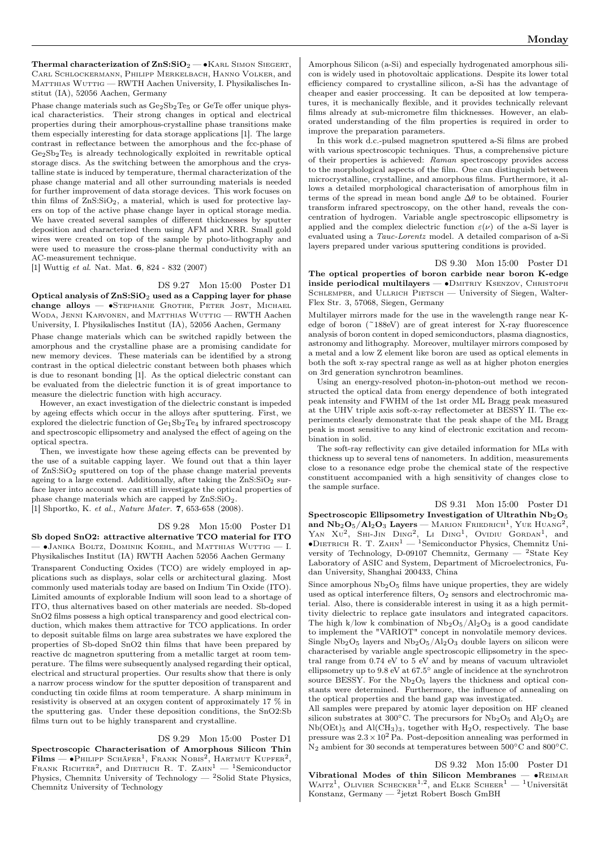Thermal characterization of  $\text{ZnS:SiO}_2$  — • KARL SIMON SIEGERT, Carl Schlockermann, Philipp Merkelbach, Hanno Volker, and MATTHIAS WUTTIG — RWTH Aachen University, I. Physikalisches Institut (IA), 52056 Aachen, Germany

Phase change materials such as  $Ge_2Sb_2Te_5$  or GeTe offer unique physical characteristics. Their strong changes in optical and electrical properties during their amorphous-crystalline phase transitions make them especially interesting for data storage applications [1]. The large contrast in reflectance between the amorphous and the fcc-phase of  $Ge_2Sb_2Te_5$  is already technologically exploited in rewritable optical storage discs. As the switching between the amorphous and the crystalline state is induced by temperature, thermal characterization of the phase change material and all other surrounding materials is needed for further improvement of data storage devices. This work focuses on thin films of  $ZnS:SiO<sub>2</sub>$ , a material, which is used for protective layers on top of the active phase change layer in optical storage media. We have created several samples of different thicknesses by sputter deposition and characterized them using AFM and XRR. Small gold wires were created on top of the sample by photo-lithography and were used to measure the cross-plane thermal conductivity with an AC-measurement technique.

[1] Wuttig et al. Nat. Mat. 6, 824 - 832 (2007)

#### DS 9.27 Mon 15:00 Poster D1

Optical analysis of  $\text{ZnS:SiO}_2$  used as a Capping layer for phase change alloys — ∙Stephanie Grothe, Peter Jost, Michael Woda, Jenni Karvonen, and Matthias Wuttig — RWTH Aachen University, I. Physikalisches Institut (IA), 52056 Aachen, Germany

Phase change materials which can be switched rapidly between the amorphous and the crystalline phase are a promising candidate for new memory devices. These materials can be identified by a strong contrast in the optical dielectric constant between both phases which is due to resonant bonding [1]. As the optical dielectric constant can be evaluated from the dielectric function it is of great importance to measure the dielectric function with high accuracy.

However, an exact investigation of the dielectric constant is impeded by ageing effects which occur in the alloys after sputtering. First, we explored the dielectric function of  $Ge<sub>1</sub>Sp<sub>2</sub>Te<sub>4</sub>$  by infrared spectroscopy and spectroscopic ellipsometry and analysed the effect of ageing on the optical spectra.

Then, we investigate how these ageing effects can be prevented by the use of a suitable capping layer. We found out that a thin layer of  $\text{ZnS:SiO}_2$  sputtered on top of the phase change material prevents ageing to a large extend. Additionally, after taking the  $ZnS:SiO<sub>2</sub>$  surface layer into account we can still investigate the optical properties of phase change materials which are capped by ZnS:SiO2. [1] Shportko, K. et al., Nature Mater. 7, 653-658 (2008).

#### DS 9.28 Mon 15:00 Poster D1

Sb doped SnO2: attractive alternative TCO material for ITO — ∙Janika Boltz, Dominik Koehl, and Matthias Wuttig — I. Physikalisches Institut (IA) RWTH Aachen 52056 Aachen Germany

Transparent Conducting Oxides (TCO) are widely employed in applications such as displays, solar cells or architectural glazing. Most commonly used materials today are based on Indium Tin Oxide (ITO). Limited amounts of explorable Indium will soon lead to a shortage of ITO, thus alternatives based on other materials are needed. Sb-doped SnO2 films possess a high optical transparency and good electrical conduction, which makes them attractive for TCO applications. In order to deposit suitable films on large area substrates we have explored the properties of Sb-doped SnO2 thin films that have been prepared by reactive dc magnetron sputtering from a metallic target at room temperature. The films were subsequently analysed regarding their optical, electrical and structural properties. Our results show that there is only a narrow process window for the sputter deposition of transparent and conducting tin oxide films at room temperature. A sharp minimum in resistivity is observed at an oxygen content of approximately 17 % in the sputtering gas. Under these deposition conditions, the SnO2:Sb films turn out to be highly transparent and crystalline.

#### DS 9.29 Mon 15:00 Poster D1

Spectroscopic Characterisation of Amorphous Silicon Thin  $\textbf{Films} \textcolor{black}{-\bullet}\textcolor{black}{\textsf{PHILIPP}}\text{Schäfer}^1,\text{Frank Nobis}^2,\text{HARTMUT KUPFER}^2,$ FRANK RICHTER<sup>2</sup>, and DIETRICH R. T. ZAHN<sup>1</sup>  $-$  <sup>1</sup>Semiconductor Physics, Chemnitz University of Technology — <sup>2</sup>Solid State Physics, Chemnitz University of Technology

Amorphous Silicon (a-Si) and especially hydrogenated amorphous silicon is widely used in photovoltaic applications. Despite its lower total efficiency compared to crystalline silicon, a-Si has the advantage of cheaper and easier proccessing. It can be deposited at low temperatures, it is mechanically flexible, and it provides technically relevant films already at sub-micrometre film thicknesses. However, an elaborated understanding of the film properties is required in order to improve the preparation parameters.

In this work d.c.-pulsed magnetron sputtered a-Si films are probed with various spectroscopic techniques. Thus, a comprehensive picture of their properties is achieved: Raman spectroscopy provides access to the morphological aspects of the film. One can distinguish between microcrystalline, crystalline, and amorphous films. Furthermore, it allows a detailed morphological characterisation of amorphous film in terms of the spread in mean bond angle  $\Delta\theta$  to be obtained. Fourier transform infrared spectroscopy, on the other hand, reveals the concentration of hydrogen. Variable angle spectroscopic ellipsometry is applied and the complex dielectric function  $\varepsilon(\nu)$  of the a-Si layer is evaluated using a Tauc-Lorentz model. A detailed comparison of a-Si layers prepared under various sputtering conditions is provided.

DS 9.30 Mon 15:00 Poster D1 The optical properties of boron carbide near boron K-edge inside periodical multilayers — • DMITRIY KSENZOV, CHRISTOPH SCHLEMPER, and ULLRICH PIETSCH — University of Siegen, Walter-Flex Str. 3, 57068, Siegen, Germany

Multilayer mirrors made for the use in the wavelength range near Kedge of boron (~188eV) are of great interest for X-ray fluorescence analysis of boron content in doped semiconductors, plasma diagnostics, astronomy and lithography. Moreover, multilayer mirrors composed by a metal and a low Z element like boron are used as optical elements in both the soft x-ray spectral range as well as at higher photon energies on 3rd generation synchrotron beamlines.

Using an energy-resolved photon-in-photon-out method we reconstructed the optical data from energy dependence of both integrated peak intensity and FWHM of the 1st order ML Bragg peak measured at the UHV triple axis soft-x-ray reflectometer at BESSY II. The experiments clearly demonstrate that the peak shape of the ML Bragg peak is most sensitive to any kind of electronic excitation and recombination in solid.

The soft-ray reflectivity can give detailed information for MLs with thickness up to several tens of nanometers. In addition, measurements close to a resonance edge probe the chemical state of the respective constituent accompanied with a high sensitivity of changes close to the sample surface.

DS 9.31 Mon 15:00 Poster D1 Spectroscopic Ellipsometry Investigation of Ultrathin  $Nb<sub>2</sub>O<sub>5</sub>$ and  $Nb_2O_5/Al_2O_3$  Layers — MARION FRIEDRICH<sup>1</sup>, YUE HUANG<sup>2</sup>, YAN Xu<sup>2</sup>, SHI-JIN DING<sup>2</sup>, LI DING<sup>1</sup>, OVIDIU GORDAN<sup>1</sup>, and <br>• DIETRICH R. T. ZAHN<sup>1</sup> — <sup>1</sup>Semiconductor Physics, Chemnitz University of Technology, D-09107 Chemnitz, Germany — <sup>2</sup>State Key Laboratory of ASIC and System, Department of Microelectronics, Fudan University, Shanghai 200433, China

Since amorphous  $Nb<sub>2</sub>O<sub>5</sub>$  films have unique properties, they are widely used as optical interference filters,  $O_2$  sensors and electrochromic material. Also, there is considerable interest in using it as a high permittivity dielectric to replace gate insulators and integrated capacitors. The high k/low k combination of  $Nb<sub>2</sub>O<sub>5</sub>/Al<sub>2</sub>O<sub>3</sub>$  is a good candidate to implement the "VARIOT" concept in nonvolatile memory devices. Single  $Nb_2O_5$  layers and  $Nb_2O_5/Al_2O_3$  double layers on silicon were characterised by variable angle spectroscopic ellipsometry in the spectral range from 0.74 eV to 5 eV and by means of vacuum ultraviolet ellipsometry up to 9.8 eV at 67.5 <sup>∘</sup> angle of incidence at the synchrotron source BESSY. For the  $Nb<sub>2</sub>O<sub>5</sub>$  layers the thickness and optical constants were determined. Furthermore, the influence of annealing on the optical properties and the band gap was investigated.

All samples were prepared by atomic layer deposition on HF cleaned silicon substrates at 300°C. The precursors for  $Nb<sub>2</sub>O<sub>5</sub>$  and  $Al<sub>2</sub>O<sub>3</sub>$  are  $Nb(OEt)$ <sub>5</sub> and  $Al(CH_3)$ <sub>3</sub>, together with  $H_2O$ , respectively. The base pressure was  $2.3 \times 10^2$  Pa. Post-deposition annealing was performed in N<sup>2</sup> ambient for 30 seconds at temperatures between 500∘C and 800∘C.

DS 9.32 Mon 15:00 Poster D1 Vibrational Modes of thin Silicon Membranes — ∙Reimar WAITZ<sup>1</sup>, OLIVIER SCHECKER<sup>1,2</sup>, and ELKE SCHEER<sup>1</sup> - <sup>1</sup>Universität Konstanz, Germany — <sup>2</sup>jetzt Robert Bosch GmBH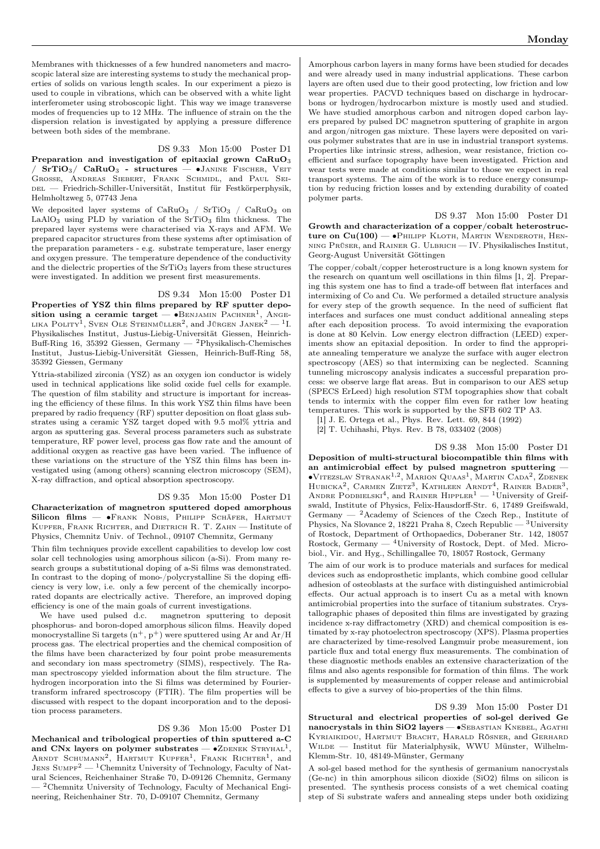Membranes with thicknesses of a few hundred nanometers and macroscopic lateral size are interesting systems to study the mechanical properties of solids on various length scales. In our experiment a piezo is used to couple in vibrations, which can be observed with a white light interferometer using stroboscopic light. This way we image transverse modes of frequencies up to 12 MHz. The influence of strain on the the dispersion relation is investigated by applying a pressure difference between both sides of the membrane.

#### DS 9.33 Mon 15:00 Poster D1

Preparation and investigation of epitaxial grown CaRuO<sub>3</sub>  $/$  SrTiO<sub>3</sub> $/$  CaRuO<sub>3</sub> - structures — •Janine Fischer, Veit Große, Andreas Siebert, Frank Schmidl, and Paul Sei-DEL — Friedrich-Schiller-Universität, Institut für Festkörperphysik, Helmholtzweg 5, 07743 Jena

We deposited layer systems of  $CaRuO<sub>3</sub>$  /  $SrTiO<sub>3</sub>$  /  $CaRuO<sub>3</sub>$  on  $LaAlO<sub>3</sub>$  using PLD by variation of the SrTiO<sub>3</sub> film thickness. The prepared layer systems were characterised via X-rays and AFM. We prepared capacitor structures from these systems after optimisation of the preparation parameters - e.g. substrate temperature, laser energy and oxygen pressure. The temperature dependence of the conductivity and the dielectric properties of the  $SrTiO<sub>3</sub>$  layers from these structures were investigated. In addition we present first measurements.

DS 9.34 Mon 15:00 Poster D1 Properties of YSZ thin films prepared by RF sputter deposition using a ceramic target —  $\bullet$ BENJAMIN PACHNER<sup>1</sup>, ANGElika Polity<sup>1</sup>, Sven Ole Steinmüller<sup>2</sup>, and Jürgen Janek<sup>2</sup> — <sup>1</sup>I. Physikalisches Institut, Justus-Liebig-Universität Giessen, Heinrich-Buff-Ring 16, 35392 Giessen, Germany — <sup>2</sup>Physikalisch-Chemisches Institut, Justus-Liebig-Universität Giessen, Heinrich-Buff-Ring 58, 35392 Giessen, Germany

Yttria-stabilized zirconia (YSZ) as an oxygen ion conductor is widely used in technical applications like solid oxide fuel cells for example. The question of film stability and structure is important for increasing the efficiency of these films. In this work YSZ thin films have been prepared by radio frequency (RF) sputter deposition on float glass substrates using a ceramic YSZ target doped with 9.5 mol% yttria and argon as sputtering gas. Several process parameters such as substrate temperature, RF power level, process gas flow rate and the amount of additional oxygen as reactive gas have been varied. The influence of these variations on the structure of the YSZ thin films has been investigated using (among others) scanning electron microscopy (SEM), X-ray diffraction, and optical absorption spectroscopy.

### DS 9.35 Mon 15:00 Poster D1

Characterization of magnetron sputtered doped amorphous Silicon films — •Frank Nobis, Philipp Schäfer, Hartmut Kupfer, Frank Richter, and Dietrich R. T. Zahn — Institute of Physics, Chemnitz Univ. of Technol., 09107 Chemnitz, Germany

Thin film techniques provide excellent capabilities to develop low cost solar cell technologies using amorphous silicon (a-Si). From many research groups a substitutional doping of a-Si films was demonstrated. In contrast to the doping of mono-/polycrystalline Si the doping efficiency is very low, i.e. only a few percent of the chemically incorporated dopants are electrically active. Therefore, an improved doping efficiency is one of the main goals of current investigations.

We have used pulsed d.c. magnetron sputtering to deposit phosphorus- and boron-doped amorphous silicon films. Heavily doped monocrystalline Si targets  $(n^+, p^+)$  were sputtered using Ar and Ar/H process gas. The electrical properties and the chemical composition of the films have been characterized by four point probe measurements and secondary ion mass spectrometry (SIMS), respectively. The Raman spectroscopy yielded information about the film structure. The hydrogen incorporation into the Si films was determined by Fouriertransform infrared spectroscopy (FTIR). The film properties will be discussed with respect to the dopant incorporation and to the deposition process parameters.

DS 9.36 Mon 15:00 Poster D1 Mechanical and tribological properties of thin sputtered a-C and CNx layers on polymer substrates  $-$  •ZDENEK STRYHAL<sup>1</sup>, ARNDT SCHUMANN<sup>2</sup>, HARTMUT KUPFER<sup>1</sup>, FRANK RICHTER<sup>1</sup>, and JENS SUMPF<sup>2</sup> — <sup>1</sup>Chemnitz University of Technology, Faculty of Natural Sciences, Reichenhainer Straße 70, D-09126 Chemnitz, Germany — <sup>2</sup>Chemnitz University of Technology, Faculty of Mechanical Engineering, Reichenhainer Str. 70, D-09107 Chemnitz, Germany

Amorphous carbon layers in many forms have been studied for decades and were already used in many industrial applications. These carbon layers are often used due to their good protecting, low friction and low wear properties. PACVD techniques based on discharge in hydrocarbons or hydrogen/hydrocarbon mixture is mostly used and studied. We have studied amorphous carbon and nitrogen doped carbon layers prepared by pulsed DC magnetron sputtering of graphite in argon and argon/nitrogen gas mixture. These layers were deposited on various polymer substrates that are in use in industrial transport systems. Properties like intrinsic stress, adhesion, wear resistance, friction coefficient and surface topography have been investigated. Friction and wear tests were made at conditions similar to those we expect in real transport systems. The aim of the work is to reduce energy consumption by reducing friction losses and by extending durability of coated polymer parts.

DS 9.37 Mon 15:00 Poster D1

Growth and characterization of a copper/cobalt heterostructure on  $Cu(100)$  —  $\bullet$ Philipp Kloth, Martin Wenderoth, Henning Prüser, and Rainer G. Ulbrich — IV. Physikalisches Institut, Georg-August Universität Göttingen

The copper/cobalt/copper heterostructure is a long known system for the research on quantum well oscillations in thin films [1, 2]. Preparing this system one has to find a trade-off between flat interfaces and intermixing of Co and Cu. We performed a detailed structure analysis for every step of the growth sequence. In the need of sufficient flat interfaces and surfaces one must conduct additional annealing steps after each deposition process. To avoid intermixing the evaporation is done at 80 Kelvin. Low energy electron diffraction (LEED) experiments show an epitaxial deposition. In order to find the appropriate annealing temperature we analyze the surface with auger electron spectroscopy (AES) so that intermixing can be neglected. Scanning tunneling microscopy analysis indicates a successful preparation process: we observe large flat areas. But in comparison to our AES setup (SPECS ErLeed) high resolution STM topographies show that cobalt tends to intermix with the copper film even for rather low heating temperatures. This work is supported by the SFB 602 TP A3.

[1] J. E. Ortega et al., Phys. Rev. Lett. 69, 844 (1992)

[2] T. Uchihashi, Phys. Rev. B 78, 033402 (2008)

DS 9.38 Mon 15:00 Poster D1 Deposition of multi-structural biocompatible thin films with an antimicrobial effect by pulsed magnetron sputtering — ∙Vitezslav Stranak1,<sup>2</sup> , Marion Quaas<sup>1</sup> , Martin Cada<sup>2</sup> , Zdenek HUBICKA<sup>2</sup>, CARMEN ZIETZ<sup>3</sup>, KATHLEEN ARNDT<sup>4</sup>, RAINER BADER<sup>3</sup>, ANDRE PODBIELSKI<sup>4</sup>, and RAINER HIPPLER<sup>1</sup> — <sup>1</sup>University of Greifswald, Institute of Physics, Felix-Hausdorff-Str. 6, 17489 Greifswald, Germany  $^{2}$ Academy of Sciences of the Czech Rep., Institute of Physics, Na Slovance 2, 18221 Praha 8, Czech Republic — <sup>3</sup>University of Rostock, Department of Orthopaedics, Doberaner Str. 142, 18057 Rostock, Germany  $-$  <sup>4</sup>University of Rostock, Dept. of Med. Microbiol., Vir. and Hyg., Schillingallee 70, 18057 Rostock, Germany

The aim of our work is to produce materials and surfaces for medical devices such as endoprosthetic implants, which combine good cellular adhesion of osteoblasts at the surface with distinguished antimicrobial effects. Our actual approach is to insert Cu as a metal with known antimicrobial properties into the surface of titanium substrates. Crystallographic phases of deposited thin films are investigated by grazing incidence x-ray diffractometry (XRD) and chemical composition is estimated by x-ray photoelectron spectroscopy (XPS). Plasma properties are characterized by time-resolved Langmuir probe measurement, ion particle flux and total energy flux measurements. The combination of these diagnostic methods enables an extensive characterization of the films and also agents responsible for formation of thin films. The work is supplemented by measurements of copper release and antimicrobial effects to give a survey of bio-properties of the thin films.

## DS 9.39 Mon 15:00 Poster D1

Structural and electrical properties of sol-gel derived Ge nanocrystals in thin SiO2 layers — •SEBASTIAN KNEBEL, AGATHI Kyriaikidou, Hartmut Bracht, Harald Rösner, and Gerhard WILDE — Institut für Materialphysik, WWU Münster, Wilhelm-Klemm-Str. 10, 48149-Münster, Germany

A sol-gel based method for the synthesis of germanium nanocrystals (Ge-nc) in thin amorphous silicon dioxide (SiO2) films on silicon is presented. The synthesis process consists of a wet chemical coating step of Si substrate wafers and annealing steps under both oxidizing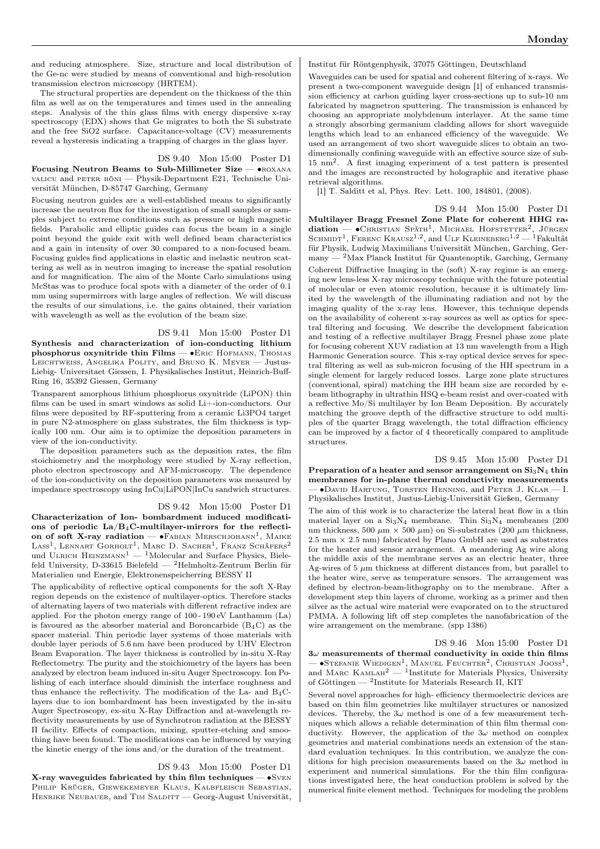and reducing atmosphere. Size, structure and local distribution of the Ge-nc were studied by means of conventional and high-resolution transmission electron microscopy (HRTEM).

The structural properties are dependent on the thickness of the thin film as well as on the temperatures and times used in the annealing steps. Analysis of the thin glass films with energy dispersive x-ray spectroscopy (EDX) shows that Ge migrates to both the Si substrate and the free SiO2 surface. Capacitance-voltage (CV) measurements reveal a hysteresis indicating a trapping of charges in the glass layer.

### DS 9.40 Mon 15:00 Poster D1

Focusing Neutron Beams to Sub-Millimeter Size — ∙roxana valicu and peter böni — Physik-Department E21, Technische Universität München, D-85747 Garching, Germany

Focusing neutron guides are a well-established means to significantly increase the neutron flux for the investigation of small samples or samples subject to extreme conditions such as pressure or high magnetic fields. Parabolic and elliptic guides can focus the beam in a single point beyond the guide exit with well defined beam characteristics and a gain in intensity of over 30 compared to a non-focused beam. Focusing guides find applications in elastic and inelastic neutron scattering as well as in neutron imaging to increase the spatial resolution and for magnification. The aim of the Monte Carlo simulations using McStas was to produce focal spots with a diameter of the order of 0.1 mm using supermirrors with large angles of reflection. We will discuss the results of our simulations, i.e. the gains obtained, their variation with wavelength as well as the evolution of the beam size.

DS 9.41 Mon 15:00 Poster D1

Synthesis and characterization of ion-conducting lithium phosphorus oxynitride thin Films — • ERIC HOFMANN, THOMAS Leichtweiss, Angelika Polity, and Bruno K. Meyer — Justus-Liebig- Universitaet Giessen, I. Physikalisches Institut, Heinrich-Buff-Ring 16, 35392 Giessen, Germany

Transparent amorphous lithium phosphorus oxynitride (LiPON) thin films can be used in smart windows as solid Li+-ion-conductors. Our films were deposited by RF-sputtering from a ceramic Li3PO4 target in pure N2-atmosphere on glass substrates, the film thickness is typically 100 nm. Our aim is to optimize the deposition parameters in view of the ion-conductivity.

The deposition parameters such as the deposition rates, the film stoichiometry and the morphology were studied by X-ray reflection, photo electron spectroscopy and AFM-microscopy. The dependence of the ion-conductivity on the deposition parameters was measured by impedance spectroscopy using InCu|LiPON|InCu sandwich structures.

#### DS 9.42 Mon 15:00 Poster D1

Characterization of Ion- bombardment induced modifications of periodic La/B4C-multilayer-mirrors for the reflection of soft X-ray radiation — • FABIAN MERSCHJOHANN<sup>1</sup>, MAIKE LASS<sup>1</sup>, LENNART GORHOLT<sup>1</sup>, MARC D. SACHER<sup>1</sup>, FRANZ SCHÄFERS<sup>2</sup> und ULRICH HEINZMANN<sup>1</sup> — <sup>1</sup>Molecular and Surface Physics, Bielefeld University, D-33615 Bielefeld — <sup>2</sup>Helmholtz-Zentrum Berlin für Materialien und Energie, Elektronenspeicherring BESSY II

The applicability of reflective optical components for the soft X-Ray region depends on the existence of multilayer-optics. Therefore stacks of alternating layers of two materials with different refractive index are applied. For the photon energy range of 100 - 190 eV Lanthanum (La) is favoured as the absorber material and Boroncarbide  $(B_4C)$  as the spacer material. Thin periodic layer systems of those materials with double layer periods of 5.6 nm have been produced by UHV Electron Beam Evaporation. The layer thickness is controlled by in-situ X-Ray Reflectometry. The purity and the stoichiometry of the layers has been analyzed by electron beam induced in-situ Auger Spectroscopy. Ion Polishing of each interface should diminish the interface roughness and thus enhance the reflectivity. The modification of the La- and  $B_4C$ layers due to ion bombardment has been investigated by the in-situ Auger Spectroscopy, ex-situ X-Ray Diffraction and at-wavelength reflectivity measurements by use of Synchrotron radiation at the BESSY II facility. Effects of compaction, mixing, sputter-etching and smoothing have been found. The modifications can be influenced by varying the kinetic energy of the ions and/or the duration of the treatment.

# DS 9.43 Mon 15:00 Poster D1

X-ray waveguides fabricated by thin film techniques —  $\bullet$ SVEN PHILIP KRÜGER, GIEWEKEMEYER KLAUS, KALBFLEISCH SEBASTIAN, HENRIKE NEUBAUER, and TIM SALDITT - Georg-August Universität, Institut für Röntgenphysik, 37075 Göttingen, Deutschland

Waveguides can be used for spatial and coherent filtering of x-rays. We present a two-component waveguide design [1] of enhanced transmission efficiency at carbon guiding layer cross-sections up to sub-10 nm fabricated by magnetron sputtering. The transmission is enhanced by choosing an appropriate molybdenum interlayer. At the same time a strongly absorbing germanium cladding allows for short waveguide lengths which lead to an enhanced efficiency of the waveguide. We used an arrangement of two short waveguide slices to obtain an twodimensionally confining waveguide with an effective source size of sub-15 nm<sup>2</sup> . A first imaging experiment of a test pattern is presented and the images are reconstructed by holographic and iterative phase retrieval algorithms.

[1] T. Salditt et al, Phys. Rev. Lett. 100, 184801, (2008).

|  | $DS 9.44$ Mon $15:00$ Poster D1 |  |
|--|---------------------------------|--|
|  |                                 |  |

Multilayer Bragg Fresnel Zone Plate for coherent HHG ra $diation$  –  $\bullet$ Christian Späth<sup>1</sup>, Michael Hofstetter<sup>2</sup>, Jürgen SCHMIDT<sup>1</sup>, FERENC KRAUSZ<sup>1,2</sup>, and ULF KLEINEBERG<sup>1,2</sup> - <sup>1</sup>Fakultät für Physik, Ludwig Maximilians Universität München, Garching, Germany — <sup>2</sup>Max Planck Institut für Quantenoptik, Garching, Germany Coherent Diffractive Imaging in the (soft) X-ray regime is an emerging new lens-less X-ray microscopy technique with the future potential of molecular or even atomic resolution, because it is ultimately limited by the wavelength of the illuminating radiation and not by the imaging quality of the x-ray lens. However, this technique depends on the availability of coherent x-ray sources as well as optics for spectral filtering and focusing. We describe the development fabrication and testing of a reflective multilayer Bragg Fresnel phase zone plate for focusing coherent XUV radiation at 13 nm wavelength from a High Harmonic Generation source. This x-ray optical device serves for spectral filtering as well as sub-micron focusing of the HH spectrum in a single element for largely reduced losses. Large zone plate structures (conventional, spiral) matching the HH beam size are recorded by ebeam lithography in ultrathin HSQ e-beam resist and over-coated with a reflective Mo/Si multilayer by Ion Beam Deposition. By accurately matching the groove depth of the diffractive structure to odd multiples of the quarter Bragg wavelength, the total diffraction efficiency can be improved by a factor of 4 theoretically compared to amplitude structures.

DS 9.45 Mon 15:00 Poster D1 Preparation of a heater and sensor arrangement on  $Si<sub>3</sub>N<sub>4</sub>$  thin membranes for in-plane thermal conductivity measurements — ∙David Hartung, Torsten Henning, and Peter J. Klar — I. Physikalisches Institut, Justus-Liebig-Universität Gießen, Germany

The aim of this work is to characterize the lateral heat flow in a thin material layer on a  $Si<sub>3</sub>N<sub>4</sub>$  membrane. Thin  $Si<sub>3</sub>N<sub>4</sub>$  membranes (200 nm thickness, 500  $\mu$ m × 500  $\mu$ m) on Si-substrates (200  $\mu$ m thickness,  $2.5$  mm  $\times$  2.5 mm) fabricated by Plano GmbH are used as substrates for the heater and sensor arrangement. A meandering Ag wire along the middle axis of the membrane serves as an electric heater, three Ag-wires of 5  $\mu$ m thickness at different distances from, but parallel to the heater wire, serve as temperature sensors. The arrangement was defined by electron-beam-lithography on to the membrane. After a development step thin layers of chrome, working as a primer and then silver as the actual wire material were evaporated on to the structured PMMA. A following lift off step completes the nanofabrication of the wire arrangement on the membrane. (spp 1386)

DS 9.46 Mon 15:00 Poster D1  $3\omega$  measurements of thermal conductivity in oxide thin films — •STEFANIE WIEDIGEN<sup>1</sup>, MANUEL FEUCHTER<sup>2</sup>, CHRISTIAN JOOSS<sup>1</sup>, and MARC KAMLAH<sup>2</sup> — <sup>1</sup>Institute for Materials Physics, University of Göttingen — <sup>2</sup> Institute for Materials Research II, KIT

Several novel approaches for high- efficiency thermoelectric devices are based on thin film geometries like multilayer structures or nanosized devices. Thereby, the  $3\omega$  method is one of a few measurement techniques which allows a reliable determination of thin film thermal conductivity. However, the application of the  $3\omega$  method on complex geometries and material combinations needs an extension of the standard evaluation techniques. In this contribution, we analyze the conditions for high precision measurements based on the  $3\omega$  method in experiment and numerical simulations. For the thin film configurations investigated here, the heat conduction problem is solved by the numerical finite element method. Techniques for modeling the problem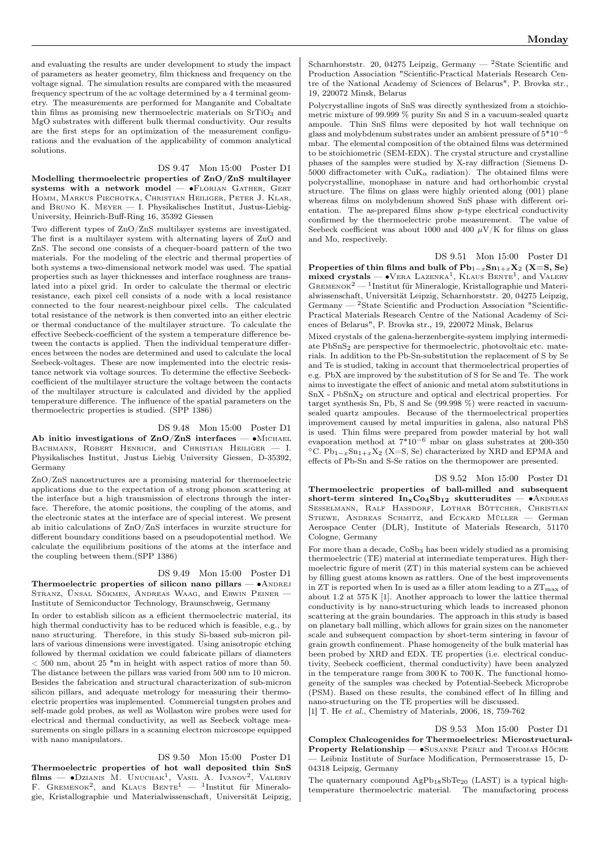and evaluating the results are under development to study the impact of parameters as heater geometry, film thickness and frequency on the voltage signal. The simulation results are compared with the measured frequency spectrum of the ac voltage determined by a 4 terminal geometry. The measurements are performed for Manganite and Cobaltate thin films as promising new thermoelectric materials on  $SrTiO<sub>3</sub>$  and MgO substrates with different bulk thermal conductivity. Our results are the first steps for an optimization of the measurement configurations and the evaluation of the applicability of common analytical solutions.

# DS 9.47 Mon 15:00 Poster D1

Modelling thermoelectric properties of ZnO/ZnS multilayer systems with a network model  $-$  •FLORIAN GATHER, GERT Homm, Markus Piechotka, Christian Heiliger, Peter J. Klar, and Bruno K. Meyer — I. Physikalisches Institut, Justus-Liebig-University, Heinrich-Buff-Ring 16, 35392 Giessen

Two different types of ZnO/ZnS multilayer systems are investigated. The first is a multilayer system with alternating layers of ZnO and ZnS. The second one consists of a chequer-board pattern of the two materials. For the modeling of the electric and thermal properties of both systems a two-dimensional network model was used. The spatial properties such as layer thicknesses and interface roughness are translated into a pixel grid. In order to calculate the thermal or electric resistance, each pixel cell consists of a node with a local resistance connected to the four nearest-neighbour pixel cells. The calculated total resistance of the network is then converted into an either electric or thermal conductance of the multilayer structure. To calculate the effective Seebeck-coefficient of the system a temperature difference between the contacts is applied. Then the individual temperature differences between the nodes are determined and used to calculate the local Seebeck-voltages. These are now implemented into the electric resistance network via voltage sources. To determine the effective Seebeckcoefficient of the multilayer structure the voltage between the contacts of the multilayer structure is calculated and divided by the applied temperature difference. The influence of the spatial parameters on the thermoelectric properties is studied. (SPP 1386)

# DS 9.48 Mon 15:00 Poster D1

Ab initio investigations of  $ZnO/ZnS$  interfaces — •MICHAEL BACHMANN, ROBERT HENRICH, and CHRISTIAN HEILIGER - I. Physikalisches Institut, Justus Liebig University Giessen, D-35392, Germany

ZnO/ZnS nanostructures are a promising material for thermoelectric applications due to the expectation of a strong phonon scattering at the interface but a high transmission of electrons through the interface. Therefore, the atomic positions, the coupling of the atoms, and the electronic states at the interface are of special interest. We present ab initio calculations of ZnO/ZnS interfaces in wurzite structure for different boundary conditions based on a pseudopotential method. We calculate the equilibrium positions of the atoms at the interface and the coupling between them.(SPP 1386)

#### DS 9.49 Mon 15:00 Poster D1

Thermoelectric properties of silicon nano pillars —  $\bullet$ ANDREJ STRANZ, ÜNSAL SÖKMEN, ANDREAS WAAG, and ERWIN PEINER -Institute of Semiconductor Technology, Braunschweig, Germany

In order to establish silicon as a efficient thermoelectric material, its high thermal conductivity has to be reduced which is feasible, e.g., by nano structuring. Therefore, in this study Si-based sub-micron pillars of various dimensions were investigated. Using anisotropic etching followed by thermal oxidation we could fabricate pillars of diameters  $<$  500 nm, about 25  $*$ m in height with aspect ratios of more than 50. The distance between the pillars was varied from 500 nm to 10 micron. Besides the fabrication and structural characterization of sub-micron silicon pillars, and adequate metrology for measuring their thermoelectric properties was implemented. Commercial tungsten probes and self-made gold probes, as well as Wollaston wire probes were used for electrical and thermal conductivity, as well as Seebeck voltage measurements on single pillars in a scanning electron microscope equipped with nano manipulators.

# DS 9.50 Mon 15:00 Poster D1

Thermoelectric properties of hot wall deposited thin SnS  $\text{films} \longrightarrow \bullet$ Dzianis M. Unuchak<sup>1</sup>, Vasil A. Ivanov<sup>2</sup>, Valeriy<br>F. Gremenok<sup>2</sup>, and Klaus Bente<sup>1</sup> — <sup>1</sup>Institut für Mineralogie, Kristallographie und Materialwissenschaft, Universität Leipzig,

Scharnhorststr. 20, 04275 Leipzig, Germany — <sup>2</sup>State Scientific and Production Association "Scientific-Practical Materials Research Centre of the National Academy of Sciences of Belarus", P. Brovka str., 19, 220072 Minsk, Belarus

Polycrystalline ingots of SnS was directly synthesized from a stoichiometric mixture of 99.999 % purity Sn and S in a vacuum-sealed quartz ampoule. Thin SnS films were deposited by hot wall technique on glass and molybdenum substrates under an ambient pressure of  $5^*10^{\,-6}$ mbar. The elemental composition of the obtained films was determined to be stoichiometric (SEM-EDX). The crystal structure and crystalline phases of the samples were studied by X-ray diffraction (Siemens D-5000 diffractometer with  $CuK_{\alpha}$  radiation). The obtained films were polycrystalline, monophase in nature and had orthorhombic crystal structure. The films on glass were highly oriented along (001) plane whereas films on molybdenum showed SnS phase with different orientation. The as-prepared films show p-type electrical conductivity confirmed by the thermoelectric probe measurement. The value of Seebeck coefficient was about 1000 and 400  $\mu$ V/K for films on glass and Mo, respectively.

DS 9.51 Mon 15:00 Poster D1 Properties of thin films and bulk of  $Pb_{1-x}Sn_{1+x}X_2$  (X=S, Se) mixed crystals —  $\bullet$ VERA LAZENKA<sup>1</sup>, KLAUS BENTE<sup>1</sup>, and VALERY GREMENOK<sup>2</sup> — <sup>1</sup>Institut für Mineralogie, Kristallographie und Materialwissenschaft, Universität Leipzig, Scharnhorststr. 20, 04275 Leipzig, Germany — <sup>2</sup>State Scientific and Production Association "Scientific-Practical Materials Research Centre of the National Academy of Sciences of Belarus", P. Brovka str., 19, 220072 Minsk, Belarus

Mixed crystals of the galena-herzenbergite-system implying intermediate PbSnS<sup>2</sup> are perspective for thermoelectric, photovoltaic etc. materials. In addition to the Pb-Sn-substitution the replacement of S by Se and Te is studied, taking in account that thermoelectrical properties of e.g. PbX are improved by the substitution of S for Se and Te. The work aims to investigate the effect of anionic and metal atom substitutions in  $SnX - PbSnX_2$  on structure and optical and electrical properties. For target synthesis Sn, Pb, S and Se (99.998 %) were reacted in vacuumsealed quartz ampoules. Because of the thermoelectrical properties improvement caused by metal impurities in galena, also natural PbS is used. Thin films were prepared from powder material by hot wall evaporation method at  $7*10^{-6}$  mbar on glass substrates at 200-350 °C.  $Pb_{1-x}Sn_{1+x}X_2$  (X=S, Se) characterized by XRD and EPMA and effects of Pb-Sn and S-Se ratios on the thermopower are presented.

DS 9.52 Mon 15:00 Poster D1 Thermoelectric properties of ball-milled and subsequent short-term sintered  $In_xCo_4Sb_{12}$  skutterudites — •ANDREAS Sesselmann, Ralf Hassdorf, Lothar Böttcher, Christian STIEWE, ANDREAS SCHMITZ, and ECKARD MÜLLER - German Aerospace Center (DLR), Institute of Materials Research, 51170 Cologne, Germany

For more than a decade,  $CoSb<sub>3</sub>$  has been widely studied as a promising thermoelectric (TE) material at intermediate temperatures. High thermoelectric figure of merit (ZT) in this material system can be achieved by filling guest atoms known as rattlers. One of the best improvements in  $ZT$  is reported when In is used as a filler atom leading to a  $ZT<sub>max</sub>$  of about 1.2 at 575 K [1]. Another approach to lower the lattice thermal conductivity is by nano-structuring which leads to increased phonon scattering at the grain boundaries. The approach in this study is based on planetary ball milling, which allows for grain sizes on the nanometer scale and subsequent compaction by short-term sintering in favour of grain growth confinement. Phase homogeneity of the bulk material has been probed by XRD and EDX. TE properties (i.e. electrical conductivity, Seebeck coefficient, thermal conductivity) have been analyzed in the temperature range from 300 K to 700 K. The functional homogeneity of the samples was checked by Potential-Seebeck Microprobe (PSM). Based on these results, the combined effect of In filling and nano-structuring on the TE properties will be discussed.

[1] T. He et al., Chemistry of Materials, 2006, 18, 759-762

DS 9.53 Mon 15:00 Poster D1 Complex Chalcogenides for Thermoelectrics: Microstructural-Property Relationship — •SUSANNE PERLT and THOMAS HÖCHE — Leibniz Institute of Surface Modification, Permoserstrasse 15, D-04318 Leipzig, Germany

The quaternary compound  $AgPb_{18}SbTe_{20}$  (LAST) is a typical hightemperature thermoelectric material. The manufactoring process